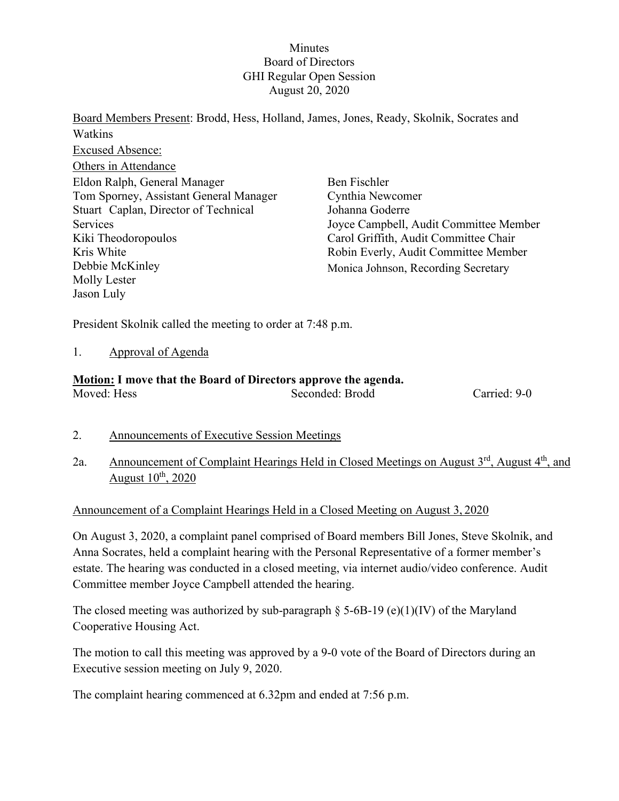### **Minutes** Board of Directors GHI Regular Open Session August 20, 2020

Board Members Present: Brodd, Hess, Holland, James, Jones, Ready, Skolnik, Socrates and Watkins Excused Absence: Others in Attendance Eldon Ralph, General Manager Tom Sporney, Assistant General Manager Stuart Caplan, Director of Technical Services Kiki Theodoropoulos Kris White Debbie McKinley Molly Lester Jason Luly Ben Fischler Cynthia Newcomer Johanna Goderre Joyce Campbell, Audit Committee Member Carol Griffith, Audit Committee Chair Robin Everly, Audit Committee Member Monica Johnson, Recording Secretary

President Skolnik called the meeting to order at 7:48 p.m.

#### 1. Approval of Agenda

## **Motion: I move that the Board of Directors approve the agenda.**

Seconded: Brodd Carried: 9-0

- 2. Announcements of Executive Session Meetings
- 2a. Announcement of Complaint Hearings Held in Closed Meetings on August 3<sup>rd</sup>, August 4<sup>th</sup>, and August  $10^{th}$ , 2020

#### Announcement of a Complaint Hearings Held in a Closed Meeting on August 3, 2020

On August 3, 2020, a complaint panel comprised of Board members Bill Jones, Steve Skolnik, and Anna Socrates, held a complaint hearing with the Personal Representative of a former member's estate. The hearing was conducted in a closed meeting, via internet audio/video conference. Audit Committee member Joyce Campbell attended the hearing.

The closed meeting was authorized by sub-paragraph  $\S$  5-6B-19 (e)(1)(IV) of the Maryland Cooperative Housing Act.

The motion to call this meeting was approved by a 9-0 vote of the Board of Directors during an Executive session meeting on July 9, 2020.

The complaint hearing commenced at 6.32pm and ended at 7:56 p.m.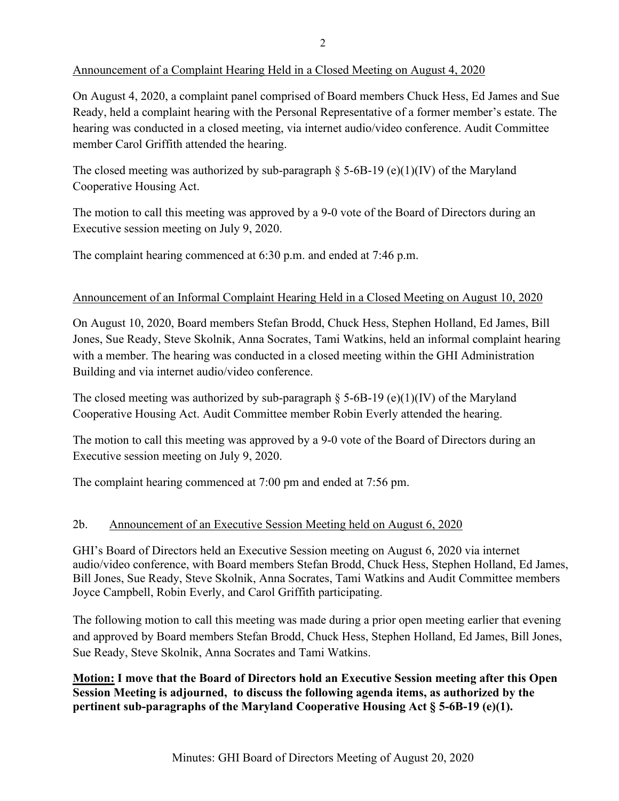## Announcement of a Complaint Hearing Held in a Closed Meeting on August 4, 2020

On August 4, 2020, a complaint panel comprised of Board members Chuck Hess, Ed James and Sue Ready, held a complaint hearing with the Personal Representative of a former member's estate. The hearing was conducted in a closed meeting, via internet audio/video conference. Audit Committee member Carol Griffith attended the hearing.

The closed meeting was authorized by sub-paragraph  $\S$  5-6B-19 (e)(1)(IV) of the Maryland Cooperative Housing Act.

The motion to call this meeting was approved by a 9-0 vote of the Board of Directors during an Executive session meeting on July 9, 2020.

The complaint hearing commenced at 6:30 p.m. and ended at 7:46 p.m.

## Announcement of an Informal Complaint Hearing Held in a Closed Meeting on August 10, 2020

On August 10, 2020, Board members Stefan Brodd, Chuck Hess, Stephen Holland, Ed James, Bill Jones, Sue Ready, Steve Skolnik, Anna Socrates, Tami Watkins, held an informal complaint hearing with a member. The hearing was conducted in a closed meeting within the GHI Administration Building and via internet audio/video conference.

The closed meeting was authorized by sub-paragraph  $\S$  5-6B-19 (e)(1)(IV) of the Maryland Cooperative Housing Act. Audit Committee member Robin Everly attended the hearing.

The motion to call this meeting was approved by a 9-0 vote of the Board of Directors during an Executive session meeting on July 9, 2020.

The complaint hearing commenced at 7:00 pm and ended at 7:56 pm.

# 2b. Announcement of an Executive Session Meeting held on August 6, 2020

GHI's Board of Directors held an Executive Session meeting on August 6, 2020 via internet audio/video conference, with Board members Stefan Brodd, Chuck Hess, Stephen Holland, Ed James, Bill Jones, Sue Ready, Steve Skolnik, Anna Socrates, Tami Watkins and Audit Committee members Joyce Campbell, Robin Everly, and Carol Griffith participating.

The following motion to call this meeting was made during a prior open meeting earlier that evening and approved by Board members Stefan Brodd, Chuck Hess, Stephen Holland, Ed James, Bill Jones, Sue Ready, Steve Skolnik, Anna Socrates and Tami Watkins.

**Motion: I move that the Board of Directors hold an Executive Session meeting after this Open Session Meeting is adjourned, to discuss the following agenda items, as authorized by the pertinent sub-paragraphs of the Maryland Cooperative Housing Act § 5-6B-19 (e)(1).**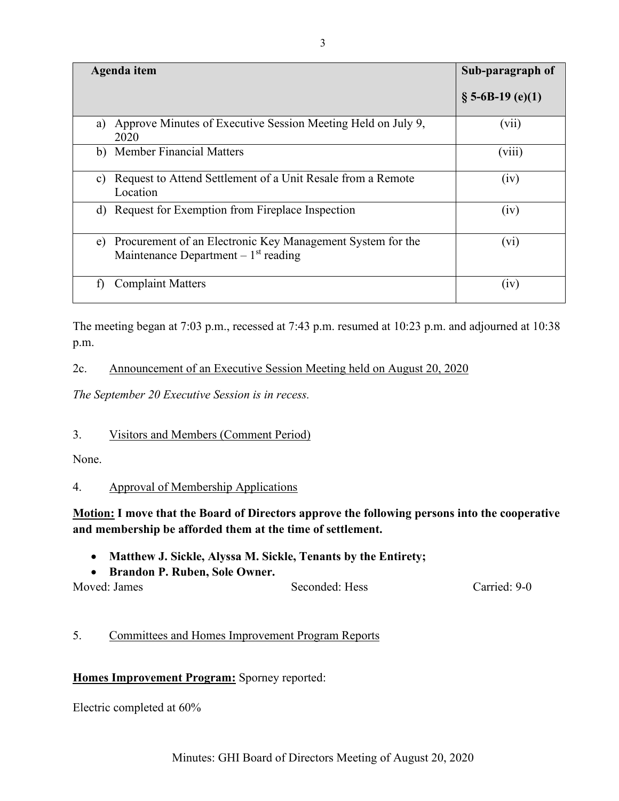| <b>Agenda</b> item                                                                                        | Sub-paragraph of    |
|-----------------------------------------------------------------------------------------------------------|---------------------|
|                                                                                                           | $\S$ 5-6B-19 (e)(1) |
| Approve Minutes of Executive Session Meeting Held on July 9,<br>a)<br>2020                                | (vii)               |
| b) Member Financial Matters                                                                               | (viii)              |
| Request to Attend Settlement of a Unit Resale from a Remote<br>C)<br>Location                             | (iv)                |
| d) Request for Exemption from Fireplace Inspection                                                        | (iv)                |
| Procurement of an Electronic Key Management System for the<br>e)<br>Maintenance Department $-1st$ reading | $(v_i)$             |
| <b>Complaint Matters</b><br>f)                                                                            | (iv)                |

The meeting began at 7:03 p.m., recessed at 7:43 p.m. resumed at 10:23 p.m. and adjourned at 10:38 p.m.

## 2c. Announcement of an Executive Session Meeting held on August 20, 2020

*The September 20 Executive Session is in recess.* 

## 3. Visitors and Members (Comment Period)

None.

# 4. Approval of Membership Applications

# **Motion: I move that the Board of Directors approve the following persons into the cooperative and membership be afforded them at the time of settlement.**

- **Matthew J. Sickle, Alyssa M. Sickle, Tenants by the Entirety;**
- **Brandon P. Ruben, Sole Owner.**

| Moved: James | Seconded: Hess | Carried: 9-0 |
|--------------|----------------|--------------|
|              |                |              |

# 5. Committees and Homes Improvement Program Reports

# **Homes Improvement Program:** Sporney reported:

Electric completed at 60%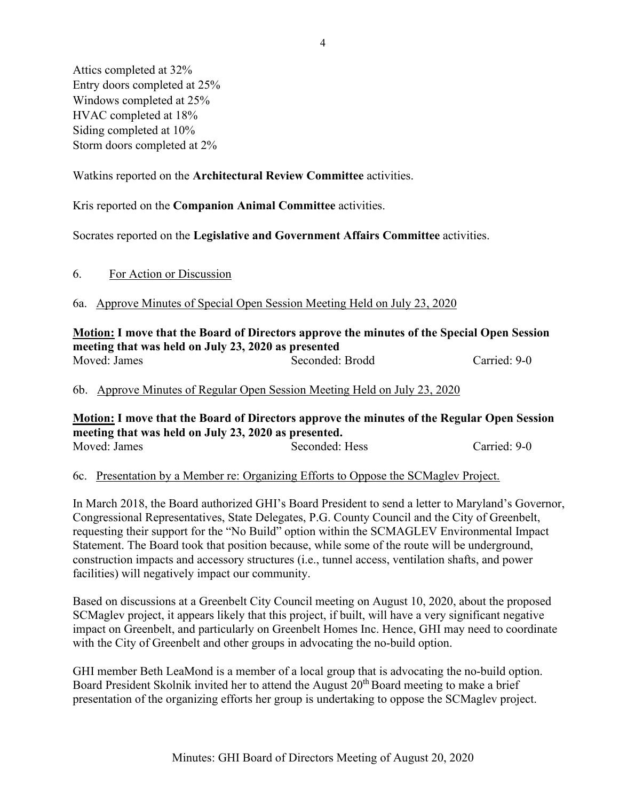Attics completed at 32% Entry doors completed at 25% Windows completed at 25% HVAC completed at 18% Siding completed at 10% Storm doors completed at 2%

Watkins reported on the **Architectural Review Committee** activities.

Kris reported on the **Companion Animal Committee** activities.

Socrates reported on the **Legislative and Government Affairs Committee** activities.

6a. Approve Minutes of Special Open Session Meeting Held on July 23, 2020

**Motion: I move that the Board of Directors approve the minutes of the Special Open Session meeting that was held on July 23, 2020 as presented** Moved: James Seconded: Brodd Carried: 9-0

6b. Approve Minutes of Regular Open Session Meeting Held on July 23, 2020

**Motion: I move that the Board of Directors approve the minutes of the Regular Open Session meeting that was held on July 23, 2020 as presented.** Moved: James Seconded: Hess Carried: 9-0

6c. Presentation by a Member re: Organizing Efforts to Oppose the SCMaglev Project.

In March 2018, the Board authorized GHI's Board President to send a letter to Maryland's Governor, Congressional Representatives, State Delegates, P.G. County Council and the City of Greenbelt, requesting their support for the "No Build" option within the SCMAGLEV Environmental Impact Statement. The Board took that position because, while some of the route will be underground, construction impacts and accessory structures (i.e., tunnel access, ventilation shafts, and power facilities) will negatively impact our community.

Based on discussions at a Greenbelt City Council meeting on August 10, 2020, about the proposed SCMaglev project, it appears likely that this project, if built, will have a very significant negative impact on Greenbelt, and particularly on Greenbelt Homes Inc. Hence, GHI may need to coordinate with the City of Greenbelt and other groups in advocating the no-build option.

GHI member Beth LeaMond is a member of a local group that is advocating the no-build option. Board President Skolnik invited her to attend the August  $20<sup>th</sup>$  Board meeting to make a brief presentation of the organizing efforts her group is undertaking to oppose the SCMaglev project.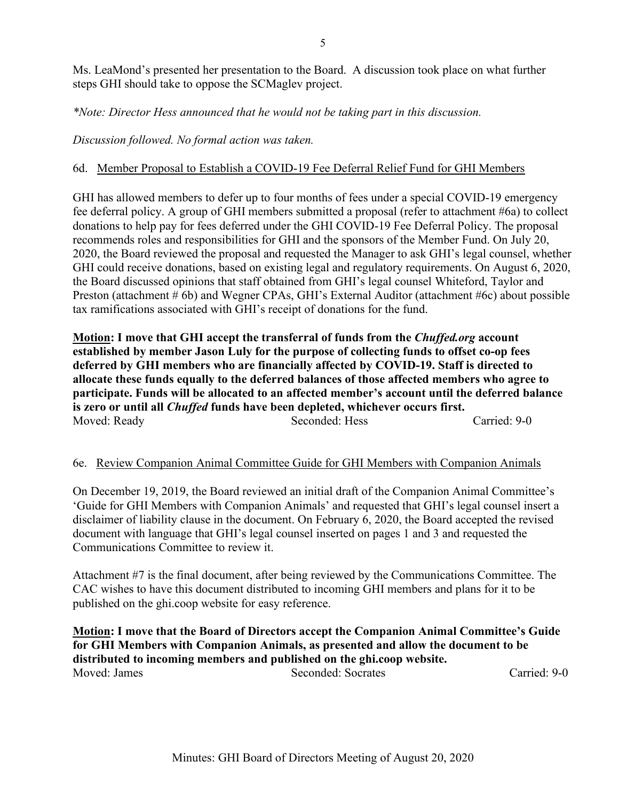Ms. LeaMond's presented her presentation to the Board. A discussion took place on what further steps GHI should take to oppose the SCMaglev project.

*\*Note: Director Hess announced that he would not be taking part in this discussion.*

*Discussion followed. No formal action was taken.*

### 6d. Member Proposal to Establish a COVID-19 Fee Deferral Relief Fund for GHI Members

GHI has allowed members to defer up to four months of fees under a special COVID-19 emergency fee deferral policy. A group of GHI members submitted a proposal (refer to attachment #6a) to collect donations to help pay for fees deferred under the GHI COVID-19 Fee Deferral Policy. The proposal recommends roles and responsibilities for GHI and the sponsors of the Member Fund. On July 20, 2020, the Board reviewed the proposal and requested the Manager to ask GHI's legal counsel, whether GHI could receive donations, based on existing legal and regulatory requirements. On August 6, 2020, the Board discussed opinions that staff obtained from GHI's legal counsel Whiteford, Taylor and Preston (attachment # 6b) and Wegner CPAs, GHI's External Auditor (attachment #6c) about possible tax ramifications associated with GHI's receipt of donations for the fund.

**Motion: I move that GHI accept the transferral of funds from the** *Chuffed.org* **account established by member Jason Luly for the purpose of collecting funds to offset co-op fees deferred by GHI members who are financially affected by COVID-19. Staff is directed to allocate these funds equally to the deferred balances of those affected members who agree to participate. Funds will be allocated to an affected member's account until the deferred balance is zero or until all** *Chuffed* **funds have been depleted, whichever occurs first.**  Moved: Ready Seconded: Hess Carried: 9-0

#### 6e. Review Companion Animal Committee Guide for GHI Members with Companion Animals

On December 19, 2019, the Board reviewed an initial draft of the Companion Animal Committee's 'Guide for GHI Members with Companion Animals' and requested that GHI's legal counsel insert a disclaimer of liability clause in the document. On February 6, 2020, the Board accepted the revised document with language that GHI's legal counsel inserted on pages 1 and 3 and requested the Communications Committee to review it.

Attachment #7 is the final document, after being reviewed by the Communications Committee. The CAC wishes to have this document distributed to incoming GHI members and plans for it to be published on the ghi.coop website for easy reference.

**Motion: I move that the Board of Directors accept the Companion Animal Committee's Guide for GHI Members with Companion Animals, as presented and allow the document to be distributed to incoming members and published on the ghi.coop website.** Moved: James Seconded: Socrates Carried: 9-0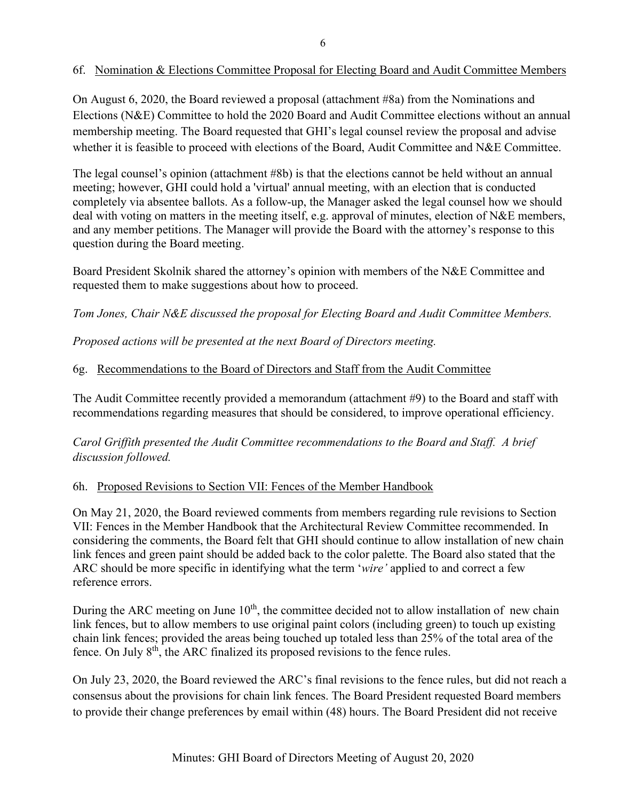### 6f. Nomination & Elections Committee Proposal for Electing Board and Audit Committee Members

On August 6, 2020, the Board reviewed a proposal (attachment #8a) from the Nominations and Elections (N&E) Committee to hold the 2020 Board and Audit Committee elections without an annual membership meeting. The Board requested that GHI's legal counsel review the proposal and advise whether it is feasible to proceed with elections of the Board, Audit Committee and N&E Committee.

The legal counsel's opinion (attachment #8b) is that the elections cannot be held without an annual meeting; however, GHI could hold a 'virtual' annual meeting, with an election that is conducted completely via absentee ballots. As a follow-up, the Manager asked the legal counsel how we should deal with voting on matters in the meeting itself, e.g. approval of minutes, election of N&E members, and any member petitions. The Manager will provide the Board with the attorney's response to this question during the Board meeting.

Board President Skolnik shared the attorney's opinion with members of the N&E Committee and requested them to make suggestions about how to proceed.

*Tom Jones, Chair N&E discussed the proposal for Electing Board and Audit Committee Members.*

*Proposed actions will be presented at the next Board of Directors meeting.*

### 6g. Recommendations to the Board of Directors and Staff from the Audit Committee

The Audit Committee recently provided a memorandum (attachment #9) to the Board and staff with recommendations regarding measures that should be considered, to improve operational efficiency.

*Carol Griffith presented the Audit Committee recommendations to the Board and Staff. A brief discussion followed.*

#### 6h. Proposed Revisions to Section VII: Fences of the Member Handbook

On May 21, 2020, the Board reviewed comments from members regarding rule revisions to Section VII: Fences in the Member Handbook that the Architectural Review Committee recommended. In considering the comments, the Board felt that GHI should continue to allow installation of new chain link fences and green paint should be added back to the color palette. The Board also stated that the ARC should be more specific in identifying what the term '*wire'* applied to and correct a few reference errors.

During the ARC meeting on June 10<sup>th</sup>, the committee decided not to allow installation of new chain link fences, but to allow members to use original paint colors (including green) to touch up existing chain link fences; provided the areas being touched up totaled less than 25% of the total area of the fence. On July  $8<sup>th</sup>$ , the ARC finalized its proposed revisions to the fence rules.

On July 23, 2020, the Board reviewed the ARC's final revisions to the fence rules, but did not reach a consensus about the provisions for chain link fences. The Board President requested Board members to provide their change preferences by email within (48) hours. The Board President did not receive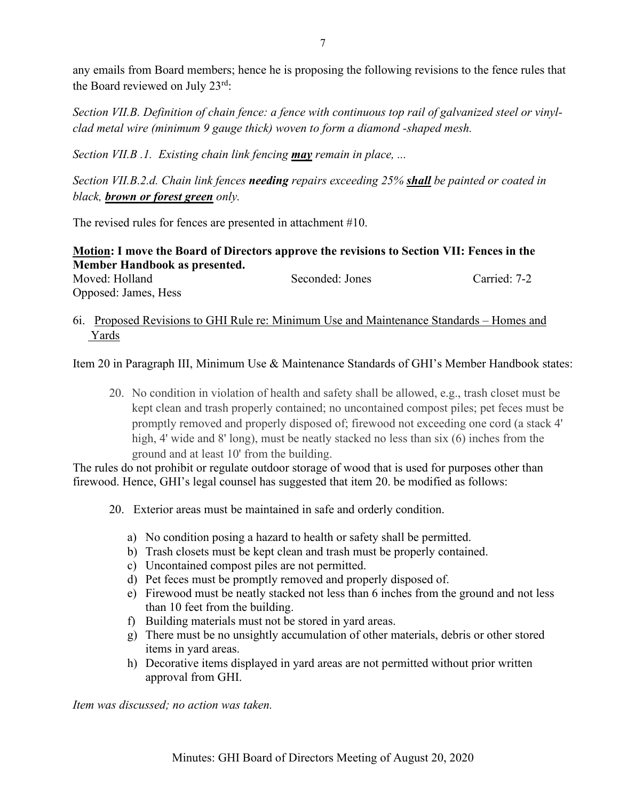any emails from Board members; hence he is proposing the following revisions to the fence rules that the Board reviewed on July 23rd:

*Section VII.B. Definition of chain fence: a fence with continuous top rail of galvanized steel or vinylclad metal wire (minimum 9 gauge thick) woven to form a diamond -shaped mesh.*

*Section VII.B .1. Existing chain link fencing may remain in place, ...*

*Section VII.B.2.d. Chain link fences needing repairs exceeding 25% shall be painted or coated in black, brown or forest green only.*

The revised rules for fences are presented in attachment #10.

**Motion: I move the Board of Directors approve the revisions to Section VII: Fences in the Member Handbook as presented.** Moved: Holland Seconded: Jones Carried: 7-2 Opposed: James, Hess

## 6i. Proposed Revisions to GHI Rule re: Minimum Use and Maintenance Standards – Homes and Yards

Item 20 in Paragraph III, Minimum Use & Maintenance Standards of GHI's Member Handbook states:

20. No condition in violation of health and safety shall be allowed, e.g., trash closet must be kept clean and trash properly contained; no uncontained compost piles; pet feces must be promptly removed and properly disposed of; firewood not exceeding one cord (a stack 4' high, 4' wide and 8' long), must be neatly stacked no less than six (6) inches from the ground and at least 10' from the building.

The rules do not prohibit or regulate outdoor storage of wood that is used for purposes other than firewood. Hence, GHI's legal counsel has suggested that item 20. be modified as follows:

- 20. Exterior areas must be maintained in safe and orderly condition.
	- a) No condition posing a hazard to health or safety shall be permitted.
	- b) Trash closets must be kept clean and trash must be properly contained.
	- c) Uncontained compost piles are not permitted.
	- d) Pet feces must be promptly removed and properly disposed of.
	- e) Firewood must be neatly stacked not less than 6 inches from the ground and not less than 10 feet from the building.
	- f) Building materials must not be stored in yard areas.
	- g) There must be no unsightly accumulation of other materials, debris or other stored items in yard areas.
	- h) Decorative items displayed in yard areas are not permitted without prior written approval from GHI.

*Item was discussed; no action was taken.*